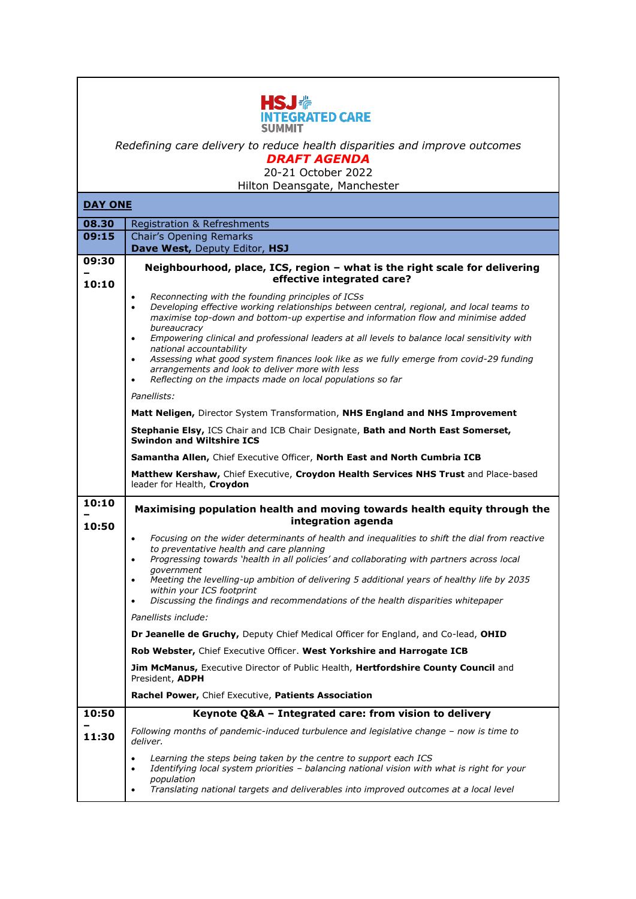

*Redefining care delivery to reduce health disparities and improve outcomes DRAFT AGENDA*

20-21 October 2022

Hilton Deansgate, Manchester

| <b>DAY ONE</b> |                                                                                                                                                                                                                                                                                                                                                                                                                                                                                                                                                                                                                                                                                                                                                                                                                                                                                  |  |  |
|----------------|----------------------------------------------------------------------------------------------------------------------------------------------------------------------------------------------------------------------------------------------------------------------------------------------------------------------------------------------------------------------------------------------------------------------------------------------------------------------------------------------------------------------------------------------------------------------------------------------------------------------------------------------------------------------------------------------------------------------------------------------------------------------------------------------------------------------------------------------------------------------------------|--|--|
| 08.30          | <b>Registration &amp; Refreshments</b>                                                                                                                                                                                                                                                                                                                                                                                                                                                                                                                                                                                                                                                                                                                                                                                                                                           |  |  |
| 09:15          | Chair's Opening Remarks                                                                                                                                                                                                                                                                                                                                                                                                                                                                                                                                                                                                                                                                                                                                                                                                                                                          |  |  |
|                | Dave West, Deputy Editor, HSJ                                                                                                                                                                                                                                                                                                                                                                                                                                                                                                                                                                                                                                                                                                                                                                                                                                                    |  |  |
| 09:30          | Neighbourhood, place, ICS, region - what is the right scale for delivering<br>effective integrated care?                                                                                                                                                                                                                                                                                                                                                                                                                                                                                                                                                                                                                                                                                                                                                                         |  |  |
| 10:10          | Reconnecting with the founding principles of ICSs<br>$\bullet$<br>Developing effective working relationships between central, regional, and local teams to<br>$\bullet$<br>maximise top-down and bottom-up expertise and information flow and minimise added<br>bureaucracy<br>Empowering clinical and professional leaders at all levels to balance local sensitivity with<br>$\bullet$<br>national accountability<br>Assessing what good system finances look like as we fully emerge from covid-29 funding<br>$\bullet$<br>arrangements and look to deliver more with less<br>Reflecting on the impacts made on local populations so far<br>$\bullet$<br>Panellists:<br>Matt Neligen, Director System Transformation, NHS England and NHS Improvement<br>Stephanie Elsy, ICS Chair and ICB Chair Designate, Bath and North East Somerset,<br><b>Swindon and Wiltshire ICS</b> |  |  |
|                | Samantha Allen, Chief Executive Officer, North East and North Cumbria ICB<br>Matthew Kershaw, Chief Executive, Croydon Health Services NHS Trust and Place-based<br>leader for Health, Croydon                                                                                                                                                                                                                                                                                                                                                                                                                                                                                                                                                                                                                                                                                   |  |  |
| 10:10<br>10:50 | Maximising population health and moving towards health equity through the<br>integration agenda                                                                                                                                                                                                                                                                                                                                                                                                                                                                                                                                                                                                                                                                                                                                                                                  |  |  |
|                | Focusing on the wider determinants of health and inequalities to shift the dial from reactive<br>$\bullet$<br>to preventative health and care planning<br>Progressing towards 'health in all policies' and collaborating with partners across local<br>$\bullet$<br>government<br>Meeting the levelling-up ambition of delivering 5 additional years of healthy life by 2035<br>$\bullet$<br>within your ICS footprint<br>Discussing the findings and recommendations of the health disparities whitepaper<br>$\bullet$                                                                                                                                                                                                                                                                                                                                                          |  |  |
|                | Panellists include:                                                                                                                                                                                                                                                                                                                                                                                                                                                                                                                                                                                                                                                                                                                                                                                                                                                              |  |  |
|                | Dr Jeanelle de Gruchy, Deputy Chief Medical Officer for England, and Co-lead, OHID                                                                                                                                                                                                                                                                                                                                                                                                                                                                                                                                                                                                                                                                                                                                                                                               |  |  |
|                | Rob Webster, Chief Executive Officer. West Yorkshire and Harrogate ICB                                                                                                                                                                                                                                                                                                                                                                                                                                                                                                                                                                                                                                                                                                                                                                                                           |  |  |
|                | Jim McManus, Executive Director of Public Health, Hertfordshire County Council and<br>President, ADPH                                                                                                                                                                                                                                                                                                                                                                                                                                                                                                                                                                                                                                                                                                                                                                            |  |  |
|                | Rachel Power, Chief Executive, Patients Association                                                                                                                                                                                                                                                                                                                                                                                                                                                                                                                                                                                                                                                                                                                                                                                                                              |  |  |
| 10:50          | Keynote Q&A - Integrated care: from vision to delivery                                                                                                                                                                                                                                                                                                                                                                                                                                                                                                                                                                                                                                                                                                                                                                                                                           |  |  |
| 11:30          | Following months of pandemic-induced turbulence and legislative change - now is time to<br>deliver.                                                                                                                                                                                                                                                                                                                                                                                                                                                                                                                                                                                                                                                                                                                                                                              |  |  |
|                | Learning the steps being taken by the centre to support each ICS<br>$\bullet$<br>Identifying local system priorities - balancing national vision with what is right for your<br>population<br>Translating national targets and deliverables into improved outcomes at a local level<br>٠                                                                                                                                                                                                                                                                                                                                                                                                                                                                                                                                                                                         |  |  |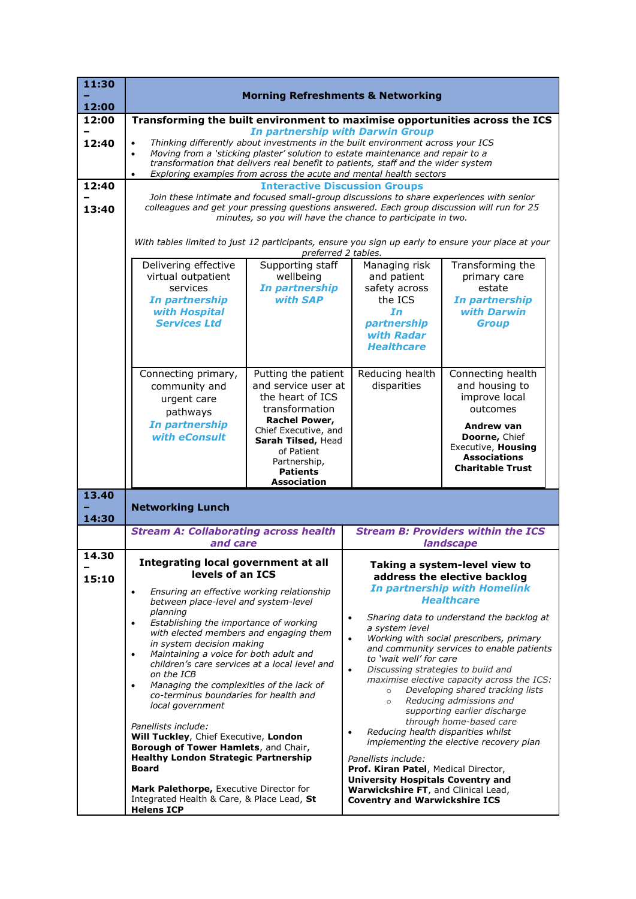| 11:30          | <b>Morning Refreshments &amp; Networking</b>                                                                                                                                                                                                                                                                                                                                                                                                                                                                                                                                                                                                                                                                                                          |                                                                                                                                                                                                                        |                                                                                                                                                                                                                                                                                                                                                                                           |                                                                                                                                                                                                                                                                                                                                                                                                                   |
|----------------|-------------------------------------------------------------------------------------------------------------------------------------------------------------------------------------------------------------------------------------------------------------------------------------------------------------------------------------------------------------------------------------------------------------------------------------------------------------------------------------------------------------------------------------------------------------------------------------------------------------------------------------------------------------------------------------------------------------------------------------------------------|------------------------------------------------------------------------------------------------------------------------------------------------------------------------------------------------------------------------|-------------------------------------------------------------------------------------------------------------------------------------------------------------------------------------------------------------------------------------------------------------------------------------------------------------------------------------------------------------------------------------------|-------------------------------------------------------------------------------------------------------------------------------------------------------------------------------------------------------------------------------------------------------------------------------------------------------------------------------------------------------------------------------------------------------------------|
| 12:00          |                                                                                                                                                                                                                                                                                                                                                                                                                                                                                                                                                                                                                                                                                                                                                       |                                                                                                                                                                                                                        |                                                                                                                                                                                                                                                                                                                                                                                           |                                                                                                                                                                                                                                                                                                                                                                                                                   |
| 12:00<br>12:40 | Transforming the built environment to maximise opportunities across the ICS<br><b>In partnership with Darwin Group</b><br>Thinking differently about investments in the built environment across your ICS<br>$\bullet$<br>Moving from a 'sticking plaster' solution to estate maintenance and repair to a<br>$\bullet$<br>transformation that delivers real benefit to patients, staff and the wider system<br>Exploring examples from across the acute and mental health sectors<br>$\bullet$                                                                                                                                                                                                                                                        |                                                                                                                                                                                                                        |                                                                                                                                                                                                                                                                                                                                                                                           |                                                                                                                                                                                                                                                                                                                                                                                                                   |
| 12:40          |                                                                                                                                                                                                                                                                                                                                                                                                                                                                                                                                                                                                                                                                                                                                                       | <b>Interactive Discussion Groups</b>                                                                                                                                                                                   |                                                                                                                                                                                                                                                                                                                                                                                           |                                                                                                                                                                                                                                                                                                                                                                                                                   |
| 13:40          | Join these intimate and focused small-group discussions to share experiences with senior<br>colleagues and get your pressing questions answered. Each group discussion will run for 25<br>minutes, so you will have the chance to participate in two.                                                                                                                                                                                                                                                                                                                                                                                                                                                                                                 |                                                                                                                                                                                                                        |                                                                                                                                                                                                                                                                                                                                                                                           |                                                                                                                                                                                                                                                                                                                                                                                                                   |
|                | With tables limited to just 12 participants, ensure you sign up early to ensure your place at your<br>preferred 2 tables.                                                                                                                                                                                                                                                                                                                                                                                                                                                                                                                                                                                                                             |                                                                                                                                                                                                                        |                                                                                                                                                                                                                                                                                                                                                                                           |                                                                                                                                                                                                                                                                                                                                                                                                                   |
|                | Delivering effective<br>virtual outpatient<br>services<br>In partnership<br>with Hospital<br><b>Services Ltd</b>                                                                                                                                                                                                                                                                                                                                                                                                                                                                                                                                                                                                                                      | Supporting staff<br>wellbeing<br>In partnership<br>with <b>SAP</b>                                                                                                                                                     | Managing risk<br>and patient<br>safety across<br>the ICS<br>In<br>partnership<br>with Radar<br><b>Healthcare</b>                                                                                                                                                                                                                                                                          | Transforming the<br>primary care<br>estate<br>In partnership<br>with Darwin<br><b>Group</b>                                                                                                                                                                                                                                                                                                                       |
|                | Connecting primary,<br>community and<br>urgent care<br>pathways<br>In partnership<br>with eConsult                                                                                                                                                                                                                                                                                                                                                                                                                                                                                                                                                                                                                                                    | Putting the patient<br>and service user at<br>the heart of ICS<br>transformation<br>Rachel Power,<br>Chief Executive, and<br>Sarah Tilsed, Head<br>of Patient<br>Partnership,<br><b>Patients</b><br><b>Association</b> | Reducing health<br>disparities                                                                                                                                                                                                                                                                                                                                                            | Connecting health<br>and housing to<br>improve local<br>outcomes<br>Andrew van<br>Doorne, Chief<br>Executive, Housing<br><b>Associations</b><br><b>Charitable Trust</b>                                                                                                                                                                                                                                           |
| 13.40<br>14:30 | <b>Networking Lunch</b>                                                                                                                                                                                                                                                                                                                                                                                                                                                                                                                                                                                                                                                                                                                               |                                                                                                                                                                                                                        |                                                                                                                                                                                                                                                                                                                                                                                           |                                                                                                                                                                                                                                                                                                                                                                                                                   |
|                | <b>Stream A: Collaborating across health</b><br>and care                                                                                                                                                                                                                                                                                                                                                                                                                                                                                                                                                                                                                                                                                              |                                                                                                                                                                                                                        |                                                                                                                                                                                                                                                                                                                                                                                           | <b>Stream B: Providers within the ICS</b><br>landscape                                                                                                                                                                                                                                                                                                                                                            |
| 14.30          | Integrating local government at all                                                                                                                                                                                                                                                                                                                                                                                                                                                                                                                                                                                                                                                                                                                   |                                                                                                                                                                                                                        |                                                                                                                                                                                                                                                                                                                                                                                           |                                                                                                                                                                                                                                                                                                                                                                                                                   |
| 15:10          | levels of an ICS                                                                                                                                                                                                                                                                                                                                                                                                                                                                                                                                                                                                                                                                                                                                      |                                                                                                                                                                                                                        | Taking a system-level view to<br>address the elective backlog                                                                                                                                                                                                                                                                                                                             |                                                                                                                                                                                                                                                                                                                                                                                                                   |
|                | Ensuring an effective working relationship<br>$\bullet$<br>between place-level and system-level<br>planning<br>Establishing the importance of working<br>$\bullet$<br>with elected members and engaging them<br>in system decision making<br>Maintaining a voice for both adult and<br>$\bullet$<br>children's care services at a local level and<br>on the ICB<br>Managing the complexities of the lack of<br>$\bullet$<br>co-terminus boundaries for health and<br>local government<br>Panellists include:<br>Will Tuckley, Chief Executive, London<br>Borough of Tower Hamlets, and Chair,<br><b>Healthy London Strategic Partnership</b><br><b>Board</b><br>Mark Palethorpe, Executive Director for<br>Integrated Health & Care, & Place Lead, St |                                                                                                                                                                                                                        | $\bullet$<br>a system level<br>$\bullet$<br>to 'wait well' for care<br>$\bullet$<br>Discussing strategies to build and<br>$\circ$<br>$\circ$<br>Reducing health disparities whilst<br>$\bullet$<br>Panellists include:<br>Prof. Kiran Patel, Medical Director,<br><b>University Hospitals Coventry and</b><br>Warwickshire FT, and Clinical Lead,<br><b>Coventry and Warwickshire ICS</b> | <b>In partnership with Homelink</b><br><b>Healthcare</b><br>Sharing data to understand the backlog at<br>Working with social prescribers, primary<br>and community services to enable patients<br>maximise elective capacity across the ICS:<br>Developing shared tracking lists<br>Reducing admissions and<br>supporting earlier discharge<br>through home-based care<br>implementing the elective recovery plan |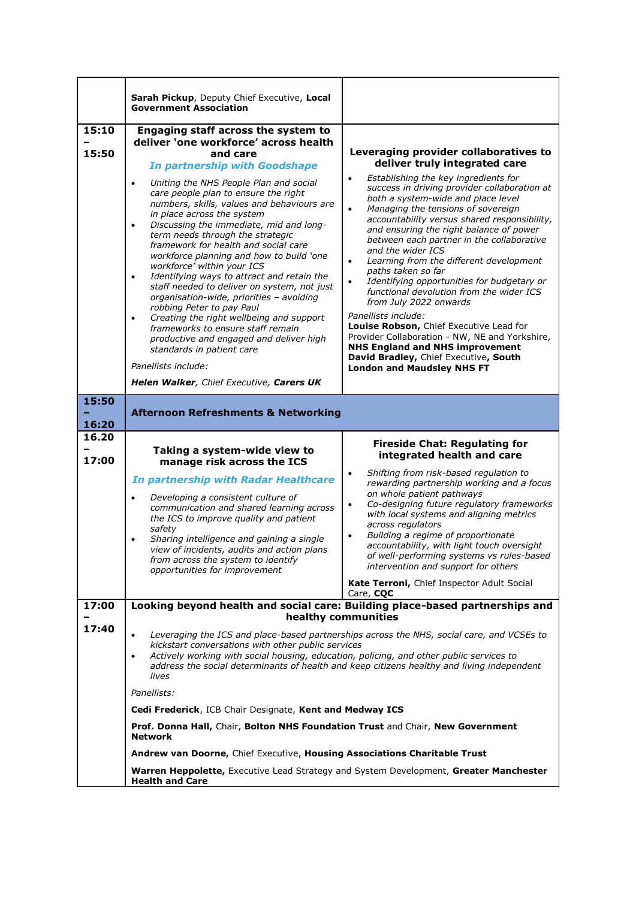|                | Sarah Pickup, Deputy Chief Executive, Local<br><b>Government Association</b>                                                                                                                                                                                                                                                                                                                                                                                                                                                                                                                                                                                                                                                                                                                                                                                                       |                                                                                                                                                                                                                                                                                                                                                                                                                                                                                                                                                                                                                                                                                                                                                                                                                                                         |  |
|----------------|------------------------------------------------------------------------------------------------------------------------------------------------------------------------------------------------------------------------------------------------------------------------------------------------------------------------------------------------------------------------------------------------------------------------------------------------------------------------------------------------------------------------------------------------------------------------------------------------------------------------------------------------------------------------------------------------------------------------------------------------------------------------------------------------------------------------------------------------------------------------------------|---------------------------------------------------------------------------------------------------------------------------------------------------------------------------------------------------------------------------------------------------------------------------------------------------------------------------------------------------------------------------------------------------------------------------------------------------------------------------------------------------------------------------------------------------------------------------------------------------------------------------------------------------------------------------------------------------------------------------------------------------------------------------------------------------------------------------------------------------------|--|
| 15:10<br>15:50 | Engaging staff across the system to<br>deliver 'one workforce' across health<br>and care<br><b>In partnership with Goodshape</b><br>Uniting the NHS People Plan and social<br>$\bullet$<br>care people plan to ensure the right<br>numbers, skills, values and behaviours are<br>in place across the system<br>Discussing the immediate, mid and long-<br>$\bullet$<br>term needs through the strategic<br>framework for health and social care<br>workforce planning and how to build 'one<br>workforce' within your ICS<br>Identifying ways to attract and retain the<br>$\bullet$<br>staff needed to deliver on system, not just<br>organisation-wide, priorities - avoiding<br>robbing Peter to pay Paul<br>Creating the right wellbeing and support<br>$\bullet$<br>frameworks to ensure staff remain<br>productive and engaged and deliver high<br>standards in patient care | Leveraging provider collaboratives to<br>deliver truly integrated care<br>Establishing the key ingredients for<br>$\bullet$<br>success in driving provider collaboration at<br>both a system-wide and place level<br>Managing the tensions of sovereign<br>$\bullet$<br>accountability versus shared responsibility,<br>and ensuring the right balance of power<br>between each partner in the collaborative<br>and the wider ICS<br>Learning from the different development<br>$\bullet$<br>paths taken so far<br>Identifying opportunities for budgetary or<br>$\bullet$<br>functional devolution from the wider ICS<br>from July 2022 onwards<br>Panellists include:<br>Louise Robson, Chief Executive Lead for<br>Provider Collaboration - NW, NE and Yorkshire,<br><b>NHS England and NHS improvement</b><br>David Bradley, Chief Executive, South |  |
|                | Panellists include:<br>Helen Walker, Chief Executive, Carers UK                                                                                                                                                                                                                                                                                                                                                                                                                                                                                                                                                                                                                                                                                                                                                                                                                    | <b>London and Maudsley NHS FT</b>                                                                                                                                                                                                                                                                                                                                                                                                                                                                                                                                                                                                                                                                                                                                                                                                                       |  |
| 15:50<br>16:20 | <b>Afternoon Refreshments &amp; Networking</b>                                                                                                                                                                                                                                                                                                                                                                                                                                                                                                                                                                                                                                                                                                                                                                                                                                     |                                                                                                                                                                                                                                                                                                                                                                                                                                                                                                                                                                                                                                                                                                                                                                                                                                                         |  |
| 16.20<br>17:00 | Taking a system-wide view to<br>manage risk across the ICS<br><b>In partnership with Radar Healthcare</b><br>Developing a consistent culture of<br>$\bullet$<br>communication and shared learning across<br>the ICS to improve quality and patient<br>safety                                                                                                                                                                                                                                                                                                                                                                                                                                                                                                                                                                                                                       | <b>Fireside Chat: Regulating for</b><br>integrated health and care<br>Shifting from risk-based regulation to<br>$\bullet$<br>rewarding partnership working and a focus<br>on whole patient pathways<br>Co-designing future regulatory frameworks<br>$\bullet$<br>with local systems and aligning metrics<br>across regulators                                                                                                                                                                                                                                                                                                                                                                                                                                                                                                                           |  |
|                | Sharing intelligence and gaining a single<br>$\bullet$<br>view of incidents, audits and action plans<br>from across the system to identify<br>opportunities for improvement                                                                                                                                                                                                                                                                                                                                                                                                                                                                                                                                                                                                                                                                                                        | Building a regime of proportionate<br>$\bullet$<br>accountability, with light touch oversight<br>of well-performing systems vs rules-based<br>intervention and support for others<br>Kate Terroni, Chief Inspector Adult Social                                                                                                                                                                                                                                                                                                                                                                                                                                                                                                                                                                                                                         |  |
| 17:00          | Care, CQC<br>Looking beyond health and social care: Building place-based partnerships and                                                                                                                                                                                                                                                                                                                                                                                                                                                                                                                                                                                                                                                                                                                                                                                          |                                                                                                                                                                                                                                                                                                                                                                                                                                                                                                                                                                                                                                                                                                                                                                                                                                                         |  |
| 17:40          | $\bullet$<br>kickstart conversations with other public services<br>$\bullet$<br>lives                                                                                                                                                                                                                                                                                                                                                                                                                                                                                                                                                                                                                                                                                                                                                                                              | healthy communities<br>Leveraging the ICS and place-based partnerships across the NHS, social care, and VCSEs to<br>Actively working with social housing, education, policing, and other public services to<br>address the social determinants of health and keep citizens healthy and living independent                                                                                                                                                                                                                                                                                                                                                                                                                                                                                                                                               |  |
|                | Panellists:                                                                                                                                                                                                                                                                                                                                                                                                                                                                                                                                                                                                                                                                                                                                                                                                                                                                        |                                                                                                                                                                                                                                                                                                                                                                                                                                                                                                                                                                                                                                                                                                                                                                                                                                                         |  |
|                | Cedi Frederick, ICB Chair Designate, Kent and Medway ICS                                                                                                                                                                                                                                                                                                                                                                                                                                                                                                                                                                                                                                                                                                                                                                                                                           |                                                                                                                                                                                                                                                                                                                                                                                                                                                                                                                                                                                                                                                                                                                                                                                                                                                         |  |
|                |                                                                                                                                                                                                                                                                                                                                                                                                                                                                                                                                                                                                                                                                                                                                                                                                                                                                                    |                                                                                                                                                                                                                                                                                                                                                                                                                                                                                                                                                                                                                                                                                                                                                                                                                                                         |  |
|                | Prof. Donna Hall, Chair, Bolton NHS Foundation Trust and Chair, New Government<br><b>Network</b>                                                                                                                                                                                                                                                                                                                                                                                                                                                                                                                                                                                                                                                                                                                                                                                   |                                                                                                                                                                                                                                                                                                                                                                                                                                                                                                                                                                                                                                                                                                                                                                                                                                                         |  |
|                | Andrew van Doorne, Chief Executive, Housing Associations Charitable Trust<br>Warren Heppolette, Executive Lead Strategy and System Development, Greater Manchester                                                                                                                                                                                                                                                                                                                                                                                                                                                                                                                                                                                                                                                                                                                 |                                                                                                                                                                                                                                                                                                                                                                                                                                                                                                                                                                                                                                                                                                                                                                                                                                                         |  |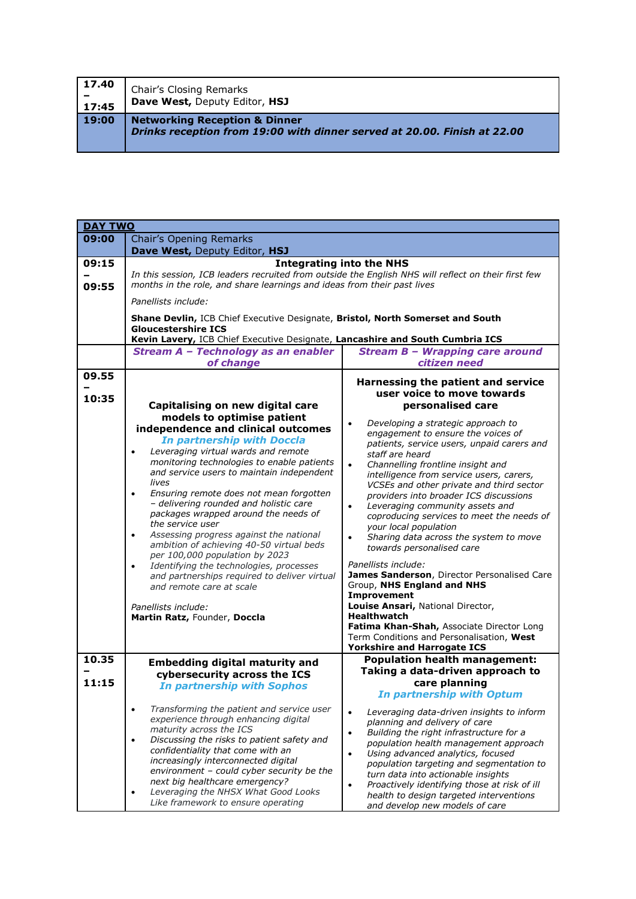| 17.40 | Chair's Closing Remarks                                                                                              |
|-------|----------------------------------------------------------------------------------------------------------------------|
| 17:45 | Dave West, Deputy Editor, HSJ                                                                                        |
| 19:00 | <b>Networking Reception &amp; Dinner</b><br>Drinks reception from 19:00 with dinner served at 20.00. Finish at 22.00 |

|                | <b>DAY TWO</b>                                                                                                                                                                                                                                                                                                                                                                                                                            |                                                                                                                                                                                                                                                                                                                                                                                                                                                                        |  |  |
|----------------|-------------------------------------------------------------------------------------------------------------------------------------------------------------------------------------------------------------------------------------------------------------------------------------------------------------------------------------------------------------------------------------------------------------------------------------------|------------------------------------------------------------------------------------------------------------------------------------------------------------------------------------------------------------------------------------------------------------------------------------------------------------------------------------------------------------------------------------------------------------------------------------------------------------------------|--|--|
| 09:00          | Chair's Opening Remarks<br>Dave West, Deputy Editor, HSJ                                                                                                                                                                                                                                                                                                                                                                                  |                                                                                                                                                                                                                                                                                                                                                                                                                                                                        |  |  |
| 09:15<br>09:55 | <b>Integrating into the NHS</b><br>In this session, ICB leaders recruited from outside the English NHS will reflect on their first few<br>months in the role, and share learnings and ideas from their past lives<br>Panellists include:<br>Shane Devlin, ICB Chief Executive Designate, Bristol, North Somerset and South                                                                                                                |                                                                                                                                                                                                                                                                                                                                                                                                                                                                        |  |  |
|                | <b>Gloucestershire ICS</b><br>Kevin Lavery, ICB Chief Executive Designate, Lancashire and South Cumbria ICS                                                                                                                                                                                                                                                                                                                               |                                                                                                                                                                                                                                                                                                                                                                                                                                                                        |  |  |
|                | Stream A - Technology as an enabler<br><b>Stream B - Wrapping care around</b><br>of change<br>citizen need                                                                                                                                                                                                                                                                                                                                |                                                                                                                                                                                                                                                                                                                                                                                                                                                                        |  |  |
| 09.55<br>10:35 | Capitalising on new digital care<br>models to optimise patient<br>independence and clinical outcomes<br><b>In partnership with Doccla</b><br>Leveraging virtual wards and remote<br>$\bullet$<br>monitoring technologies to enable patients<br>and service users to maintain independent<br>lives<br>Ensuring remote does not mean forgotten<br>$\bullet$<br>- delivering rounded and holistic care                                       | Harnessing the patient and service<br>user voice to move towards<br>personalised care<br>Developing a strategic approach to<br>$\bullet$<br>engagement to ensure the voices of<br>patients, service users, unpaid carers and<br>staff are heard<br>Channelling frontline insight and<br>intelligence from service users, carers,<br>VCSEs and other private and third sector<br>providers into broader ICS discussions<br>Leveraging community assets and<br>$\bullet$ |  |  |
|                | packages wrapped around the needs of<br>the service user<br>Assessing progress against the national<br>$\bullet$<br>ambition of achieving 40-50 virtual beds<br>per 100,000 population by 2023<br>Identifying the technologies, processes<br>$\bullet$<br>and partnerships required to deliver virtual<br>and remote care at scale<br>Panellists include:<br>Martin Ratz, Founder, Doccla                                                 | coproducing services to meet the needs of<br>your local population<br>Sharing data across the system to move<br>$\bullet$<br>towards personalised care<br>Panellists include:<br>James Sanderson, Director Personalised Care<br>Group, NHS England and NHS<br>Improvement<br>Louise Ansari, National Director,<br><b>Healthwatch</b><br>Fatima Khan-Shah, Associate Director Long                                                                                      |  |  |
|                |                                                                                                                                                                                                                                                                                                                                                                                                                                           | Term Conditions and Personalisation, West<br><b>Yorkshire and Harrogate ICS</b>                                                                                                                                                                                                                                                                                                                                                                                        |  |  |
| 10.35<br>11:15 | <b>Embedding digital maturity and</b><br>cybersecurity across the ICS<br><b>In partnership with Sophos</b>                                                                                                                                                                                                                                                                                                                                | <b>Population health management:</b><br>Taking a data-driven approach to<br>care planning<br><b>In partnership with Optum</b>                                                                                                                                                                                                                                                                                                                                          |  |  |
|                | Transforming the patient and service user<br>$\bullet$<br>experience through enhancing digital<br>maturity across the ICS<br>Discussing the risks to patient safety and<br>$\bullet$<br>confidentiality that come with an<br>increasingly interconnected digital<br>environment - could cyber security be the<br>next big healthcare emergency?<br>Leveraging the NHSX What Good Looks<br>$\bullet$<br>Like framework to ensure operating | Leveraging data-driven insights to inform<br>$\bullet$<br>planning and delivery of care<br>Building the right infrastructure for a<br>$\bullet$<br>population health management approach<br>Using advanced analytics, focused<br>$\bullet$<br>population targeting and segmentation to<br>turn data into actionable insights<br>Proactively identifying those at risk of ill<br>$\bullet$<br>health to design targeted interventions<br>and develop new models of care |  |  |